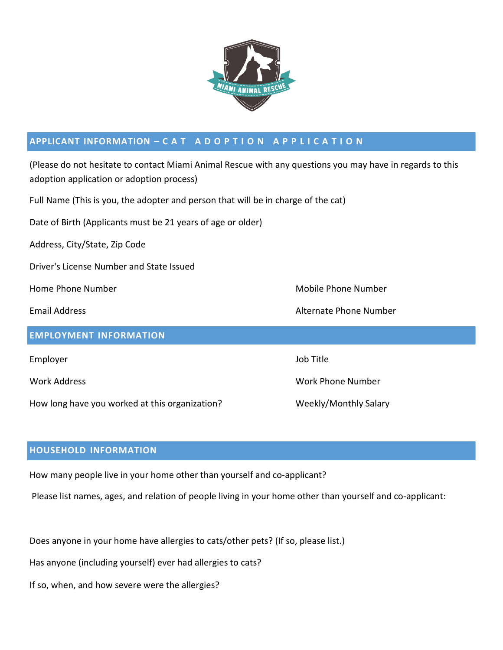

## APPLICANT INFORMATION - CAT ADOPTION APPLICATION

(Please do not hesitate to contact Miami Animal Rescue with any questions you may have in regards to this adoption application or adoption process)

Full Name (This is you, the adopter and person that will be in charge of the cat)

Date of Birth (Applicants must be 21 years of age or older)

Address, City/State, Zip Code

Driver's License Number and State Issued

#### **EMPLOYMENT INFORMATION**

Employer and the state of the state of the state of the state of the state of the state of the state of the state of the state of the state of the state of the state of the state of the state of the state of the state of t

How long have you worked at this organization? Weekly/Monthly Salary

Home Phone Number Mobile Phone Number Mobile Phone Number

Email Address Alternate Phone Number

Work Address Work Phone Number

## **HOUSEHOLD INFORMATION**

How many people live in your home other than yourself and co-applicant?

Please list names, ages, and relation of people living in your home other than yourself and co-applicant:

Does anyone in your home have allergies to cats/other pets? (If so, please list.)

Has anyone (including yourself) ever had allergies to cats?

If so, when, and how severe were the allergies?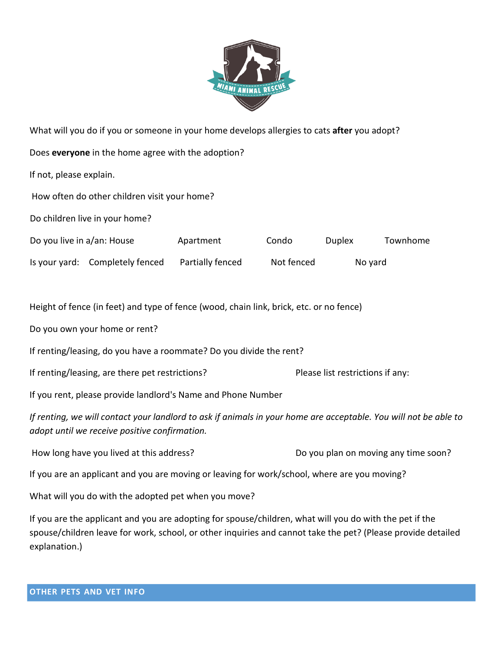

| What will you do if you or someone in your home develops allergies to cats after you adopt?                                                                       |  |                                      |            |               |          |
|-------------------------------------------------------------------------------------------------------------------------------------------------------------------|--|--------------------------------------|------------|---------------|----------|
| Does everyone in the home agree with the adoption?                                                                                                                |  |                                      |            |               |          |
| If not, please explain.                                                                                                                                           |  |                                      |            |               |          |
| How often do other children visit your home?                                                                                                                      |  |                                      |            |               |          |
| Do children live in your home?                                                                                                                                    |  |                                      |            |               |          |
| Do you live in a/an: House                                                                                                                                        |  | Apartment                            | Condo      | <b>Duplex</b> | Townhome |
| Is your yard: Completely fenced                                                                                                                                   |  | Partially fenced                     | Not fenced | No yard       |          |
|                                                                                                                                                                   |  |                                      |            |               |          |
| Height of fence (in feet) and type of fence (wood, chain link, brick, etc. or no fence)                                                                           |  |                                      |            |               |          |
| Do you own your home or rent?                                                                                                                                     |  |                                      |            |               |          |
| If renting/leasing, do you have a roommate? Do you divide the rent?                                                                                               |  |                                      |            |               |          |
| If renting/leasing, are there pet restrictions?                                                                                                                   |  | Please list restrictions if any:     |            |               |          |
| If you rent, please provide landlord's Name and Phone Number                                                                                                      |  |                                      |            |               |          |
| If renting, we will contact your landlord to ask if animals in your home are acceptable. You will not be able to<br>adopt until we receive positive confirmation. |  |                                      |            |               |          |
| How long have you lived at this address?                                                                                                                          |  | Do you plan on moving any time soon? |            |               |          |
| If you are an applicant and you are moving or leaving for work/school, where are you moving?                                                                      |  |                                      |            |               |          |
| What will you do with the adopted pet when you move?                                                                                                              |  |                                      |            |               |          |

If you are the applicant and you are adopting for spouse/children, what will you do with the pet if the spouse/children leave for work, school, or other inquiries and cannot take the pet? (Please provide detailed explanation.)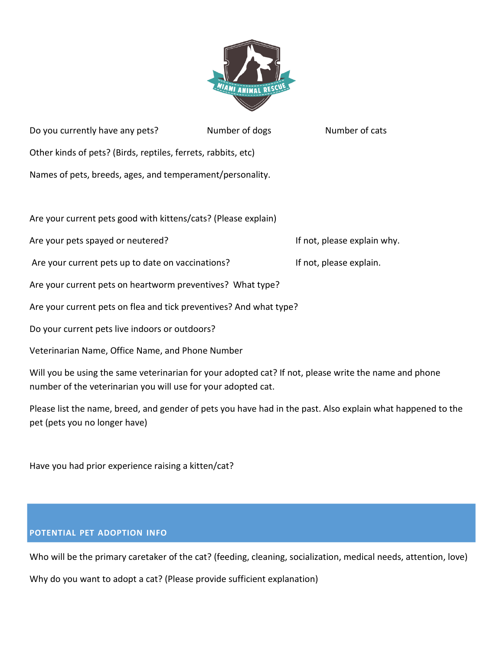

Do you currently have any pets? Number of dogs Number of cats Other kinds of pets? (Birds, reptiles, ferrets, rabbits, etc) Names of pets, breeds, ages, and temperament/personality.

Are your current pets good with kittens/cats? (Please explain)

Are your pets spayed or neutered? If not, please explain why.

Are your current pets up to date on vaccinations? If not, please explain.

Are your current pets on heartworm preventives? What type?

Are your current pets on flea and tick preventives? And what type?

Do your current pets live indoors or outdoors?

Veterinarian Name, Office Name, and Phone Number

Will you be using the same veterinarian for your adopted cat? If not, please write the name and phone number of the veterinarian you will use for your adopted cat.

Please list the name, breed, and gender of pets you have had in the past. Also explain what happened to the pet (pets you no longer have)

Have you had prior experience raising a kitten/cat?

#### **POTENTIAL PET ADOPTION INFO**

Who will be the primary caretaker of the cat? (feeding, cleaning, socialization, medical needs, attention, love)

Why do you want to adopt a cat? (Please provide sufficient explanation)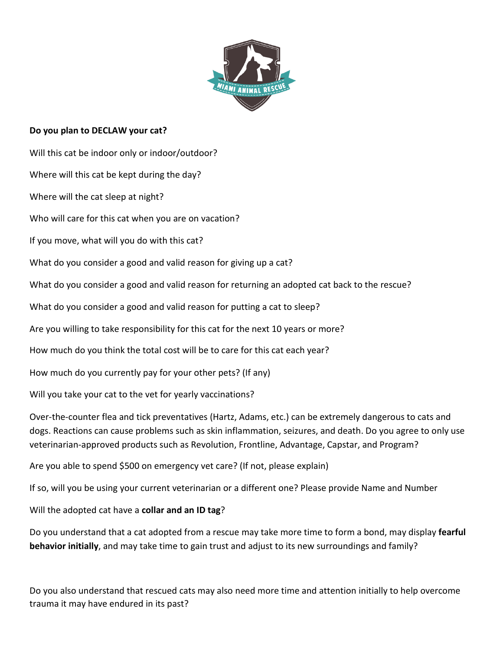

### **Do you plan to DECLAW your cat?**

Will this cat be indoor only or indoor/outdoor? Where will this cat be kept during the day? Where will the cat sleep at night? Who will care for this cat when you are on vacation? If you move, what will you do with this cat? What do you consider a good and valid reason for giving up a cat? What do you consider a good and valid reason for returning an adopted cat back to the rescue? What do you consider a good and valid reason for putting a cat to sleep? Are you willing to take responsibility for this cat for the next 10 years or more? How much do you think the total cost will be to care for this cat each year? How much do you currently pay for your other pets? (If any) Will you take your cat to the vet for yearly vaccinations? Over-the-counter flea and tick preventatives (Hartz, Adams, etc.) can be extremely dangerous to cats and dogs. Reactions can cause problems such as skin inflammation, seizures, and death. Do you agree to only use veterinarian-approved products such as Revolution, Frontline, Advantage, Capstar, and Program?

Are you able to spend \$500 on emergency vet care? (If not, please explain)

If so, will you be using your current veterinarian or a different one? Please provide Name and Number

Will the adopted cat have a **collar and an ID tag**?

Do you understand that a cat adopted from a rescue may take more time to form a bond, may display **fearful behavior initially**, and may take time to gain trust and adjust to its new surroundings and family?

Do you also understand that rescued cats may also need more time and attention initially to help overcome trauma it may have endured in its past?